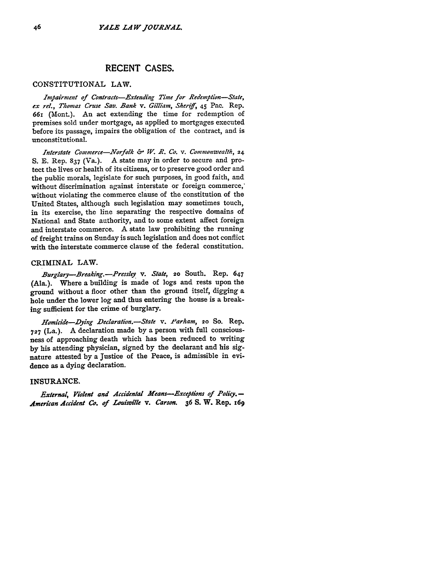# **RECENT CASES.**

# CONSTITUTIONAL LAW.

*Inairment of Contracts-Extending Time for Redention-State, ex rel., Thomas Cruse Say. Bank v. Gilliam, Sherif,* 45 Pac. Rep. 66x (Mont.). An act extending the time for redemption of premises sold under mortgage, as applied to mortgages executed before its passage, impairs the obligation of the contract, and is unconstitutional.

*Interstate Comnerce-Norfolk &J W. R. Co. v. Commonwealth, 24* S. E. Rep. 837 (Va.). A state may in order to secure and protect the lives or health of its citizens, or to preserve good order and the public morals, legislate for such purposes, in good faith, and without discrimination against interstate or foreign commerce,' without violating the commerce clause of the constitution of the United States, although such legislation may sometimes touch, in its exercise, the line separating the respective domains of National and State authority, and to some extent affect foreign and interstate commerce. A state law prohibiting the running of freight trains on Sunday is such legislation and does not conflict with the interstate commerce clause of the federal constitution.

#### CRIMINAL LAW.

*Burglary-Breaking.-Pressey v. State, 20* South. Rep. 647 (Ala.). Where a building is made of logs and rests upon the ground without a floor other than the ground itself, digging a hole under the lower log and thus entering the house is a breaking sufficient for the crime of burglary.

Homicide-Dying Declaration.-State v. Parham, 20 So. Rep. **727** (La.). A declaration made **by** a person with full consciousness of approaching death which has been reduced to writing by his attending physician, signed by the declarant and his signature attested by a Justice of the Peace, is admissible in evidence as a dying declaration.

### **INSURANCE.**

*External, Violent and Accidental Means-Exceytons of Policy.* **-** *American Accident Co. of Louisil v. Carson. 36* **S.** W. Rep. **<sup>169</sup>**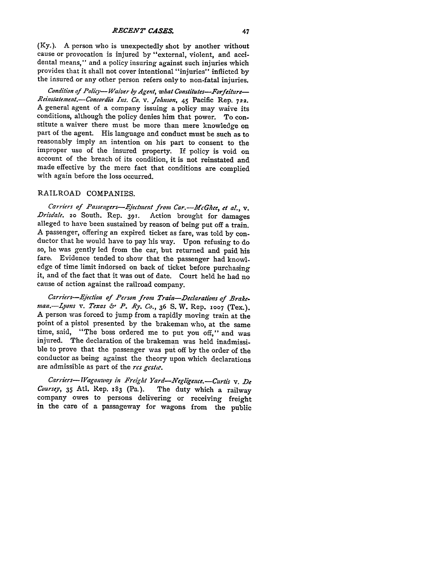(Ky.). A person who is unexpectedly shot by another without cause or provocation is injured by "external, violent, and accidental means," and a policy insuring against such injuries which provides that it shall not cover intentional "injuries" inflicted by the insured or any other person refers only to non-fatal injuries.

Condition of Policy--Waiver by Agent, what Constitutes-Forfeiture-*Reinsaement.-Concordia Ins. Co. v. Johnson,* 45 Pacific Rep. **722.** A general agent of a company issuing a policy may waive its conditions, although the policy denies him that power. To constitute a waiver there must be more than mere knowledge on part of the agent. His language and conduct must be such as to reasonably imply an intention on his part to consent to the improper use of the insured property. If policy is void on account of the breach of its condition, it is not reinstated and made effective by the mere fact that conditions are complied with again before the loss occurred.

# RAILROAD COMPANIES.

*Carriers of Passengers-Eiectment from Car.-McGhee, et al., v. Drisdale.* **20** South. Rep. 39r. Action brought for damages alleged to have been sustained by reason of being put off a train. A passenger, offering an expired ticket as fare, was told by conductor that he would have to pay his way. Upon refusing to do so, he was gently led from the car, but returned and paid his fare. Evidence tended to show that the passenger had knowledge of time limit indorsed on back of ticket before purchasing it, and of the fact that it was out of date. Court held he had no cause of action against the railroad company.

*Carriers-Ejection of Person from Train-Declarations of Brakenan.-Lyons v. Texas &- P. Ry. Co.,* 36 **S.** W. Rep. **1007** (Tex.). A person was forced to jump from a Tapidly moving train at the point of a pistol presented by the brakeman who, at the same time, said, "The boss ordered me to put you off," and was injured. The declaration of the brakeman was held inadmissible to prove that the passenger was put off by the order of the conductor as being against the theory upon which declarations are admissible as part of the *res geste.*

Carriers-- Wagonway in Freight Yard-Negligence.-Curtis v. De *Coursey,* 35 Atl. Rep. **183** (Pa.). The duty which a railway company owes to persons delivering or receiving freight in the care of a passageway for wagons from the public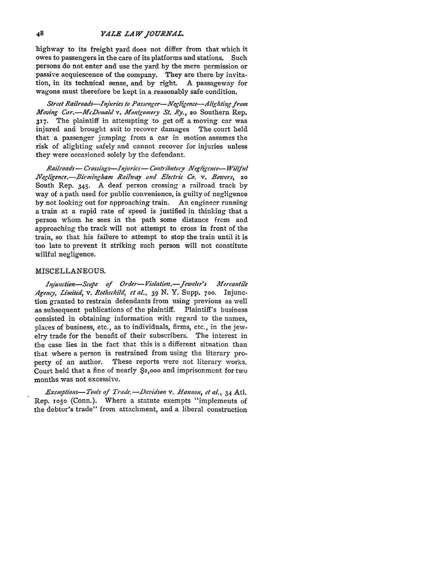highway to its freight yard does not differ from that which it owes to passengers in the care of its platforms and stations. Such persons do not enter and use the yard by the mere permission or passive acquiescence of the company. They are there by invitation, in its technical sense, and by right. A passageway for wagons must therefore be kept in a reasonably safe condition.

Street Railroads-Injuries to Passenger-Negligence-Alighting from *Moving Car.-McDnald v. Montgonzey St. Ry.,* **20** Southern Rep. **317.** The plaintiff in attempting to get off a moving car was injured and brought suit to recover damages The court held that a passenger jumping from a Car in motion assumes the risk of alighting safely and cannot recover for injuries unless they were occasioned solely by the defendant.

 $Rainoads-Crossings-Injurics- Continuity Megligence- Willful$ *N.Zegligence.-Bi-itigharn Railweay* and Electric Co. *v.* Bowers, *<sup>20</sup>* South Rep. 345. A deaf person crossing a railroad track by way of a path used for public convenience, is guilty of negligence by not looking out for approaching train. An engineer running a train at a rapid rate of speed is justified in thinking that a person whom he sees in the path some distance from and approaching the track will not attempt to cross in front of the train, so that his failure to attempt to stop the train until it is too late to prevent it striking such person will not constitute willful negligence.

#### MISCELLANEOUS.

*Intjunction-Scope of Order- Violation.-Jewleler's Afercantile* Agency, *Limited, v. Rothschild, et al.,* 39 N. Y. Supp. **700.** Injunction granted to restrain defendants from using previous as well as subsequent publications of the plaintiff. Plaintiff's business consisted in obtaining information with regard to the names, places of business, etc., as to individuals, firms, etc., in the jewelry trade for the benefit of their subscribers. The interest in the case lies in the fact that this is a different situation than that where a person is restrained from using the literary property of an author. These reports were not literary works. Court held that a fine of nearly **\$2,000** and imprisonment for two months was not excessive.

Exemptions-Tools of Trade.- Davidson v. Hannon, et al., 34 Atl. Rep. io5o (Conn.). Where a statute exempts "implements of the debtor's trade" from attachment, and a liberal construction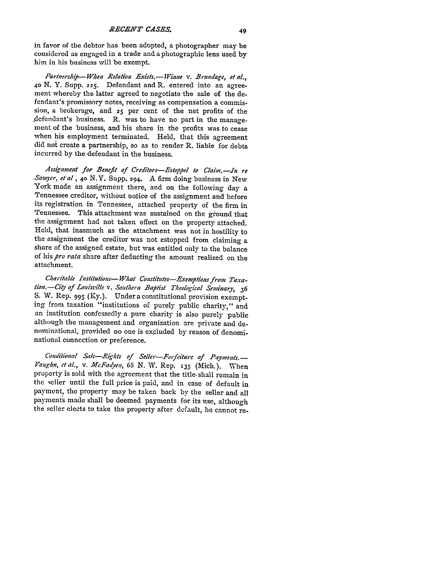in favor of the debtor has been adopted, a photographer may be considered as engaged in a trade and a photographic lens used by him in his business will be exempt.

Partnership-When Relation Exists.-*JVinne v. Brundage, et al.*, **40 N.** Y. Supp. **225.** Defendant and R. entered into an agreeinent whereby the latter agreed to negotiate the sale of the defendant's promissory notes, receiving as compensation a commission, a brokerage, and **25** per cent of the net profits of the .defendant's business. R. was to have no part in the management of the business, and his share in the profits was to cease when his employment terminated. Held, that this agreement did not create a partnership, so as to render R. liable for debts incurred by the defendant in the business.

Assignment for Benefit of Creditors-Estoppel to Claim.-In re *Sawyer, et al,* 40 N.Y. Supp. **294.** A firm doing business in New York made an assignment there, and on the following day a Tennessee creditor, without notice of the assignment and before its registration in Tennessee, attached property of the firm in Tennessee. This attachment was sustained on the ground that the assignment had not taken effect on the property attached. Held, that inasmuch as the attachment was not in hostility to the assignment the creditor was not estopped from claiming a share of the assigned estate, but was entitled only to the balance of his *pro rata* share after deducting the amount realized on the attachment.

Charitable Institutions-What Constitutes-Exemptions from Taxa*tion.-City of Louisville v.* Southern *Baptist Theolqgical* Seminary, **<sup>36</sup>** S. W. Rep. **995** (Ky.). Under a constitutional provision exempting from taxation "institutions of purely public charity," and an institution confessedly a pure charity is also purely public although the management and organization are private and denominational, provided no one is excluded by reason of denominational connection or preference.

Conditional Sale--Rights of Seller-Forfeiture of Payments.-*Vaughn, etal., v. AMcFadyen,* **68** N. W. Rep. **135** (Mich.). When property is sold with the agreement that the title, shall remain in the seller until the full price is paid, and in case of default in payment, the property may be taken back by the seller and all payments made shall be deemed payments for its use, although the seller elects to take the property after default, he cannot re